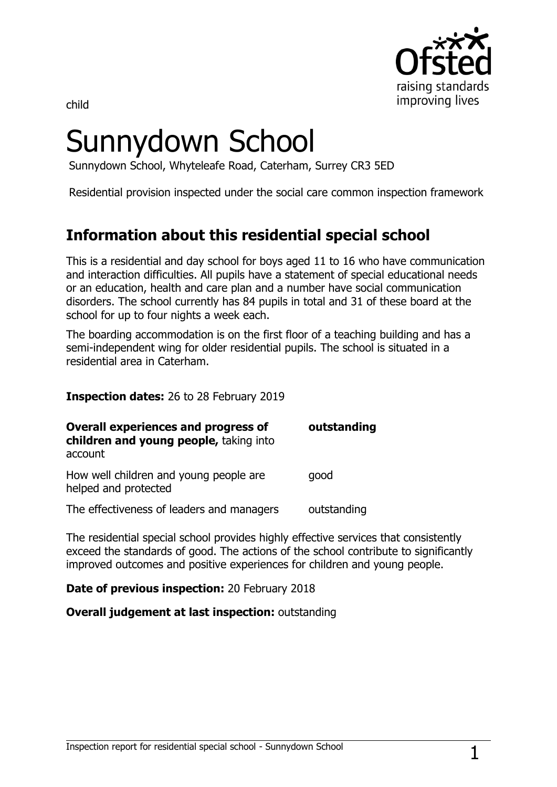

child

# Sunnydown School

Sunnydown School, Whyteleafe Road, Caterham, Surrey CR3 5ED

Residential provision inspected under the social care common inspection framework

## **Information about this residential special school**

This is a residential and day school for boys aged 11 to 16 who have communication and interaction difficulties. All pupils have a statement of special educational needs or an education, health and care plan and a number have social communication disorders. The school currently has 84 pupils in total and 31 of these board at the school for up to four nights a week each.

The boarding accommodation is on the first floor of a teaching building and has a semi-independent wing for older residential pupils. The school is situated in a residential area in Caterham.

**Inspection dates:** 26 to 28 February 2019

| <b>Overall experiences and progress of</b><br>children and young people, taking into<br>account | outstanding |
|-------------------------------------------------------------------------------------------------|-------------|
| How well children and young people are<br>helped and protected                                  | qood        |
| The effectiveness of leaders and managers                                                       | outstanding |

The residential special school provides highly effective services that consistently exceed the standards of good. The actions of the school contribute to significantly improved outcomes and positive experiences for children and young people.

**Date of previous inspection:** 20 February 2018

**Overall judgement at last inspection:** outstanding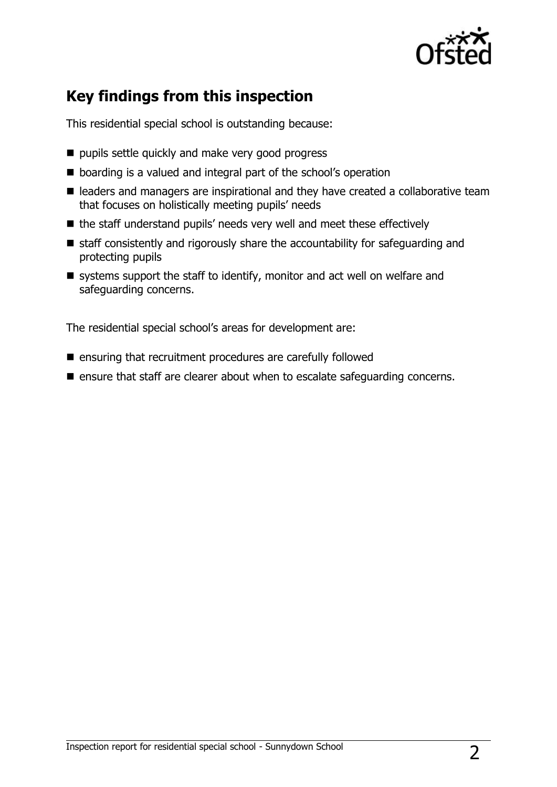

## **Key findings from this inspection**

This residential special school is outstanding because:

- pupils settle quickly and make very good progress
- boarding is a valued and integral part of the school's operation
- leaders and managers are inspirational and they have created a collaborative team that focuses on holistically meeting pupils' needs
- $\blacksquare$  the staff understand pupils' needs very well and meet these effectively
- $\blacksquare$  staff consistently and rigorously share the accountability for safeguarding and protecting pupils
- $\blacksquare$  systems support the staff to identify, monitor and act well on welfare and safeguarding concerns.

The residential special school's areas for development are:

- $\blacksquare$  ensuring that recruitment procedures are carefully followed
- **E** ensure that staff are clearer about when to escalate safeguarding concerns.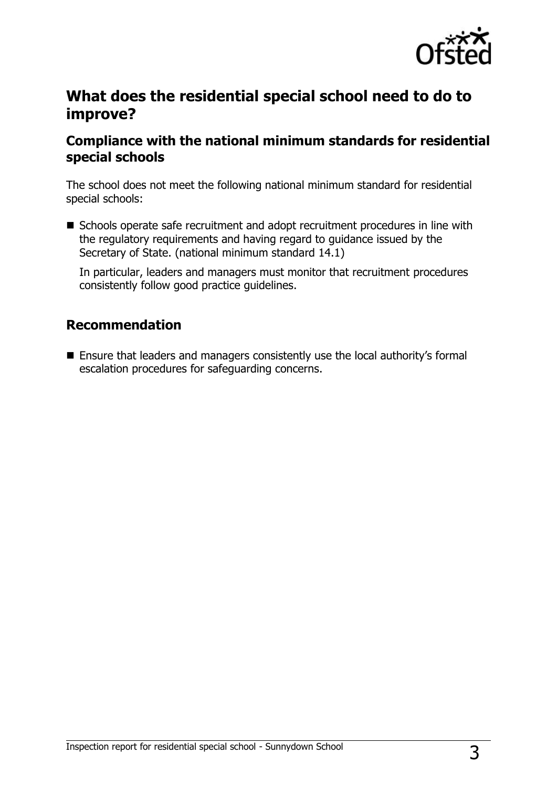

### **What does the residential special school need to do to improve?**

#### **Compliance with the national minimum standards for residential special schools**

The school does not meet the following national minimum standard for residential special schools:

■ Schools operate safe recruitment and adopt recruitment procedures in line with the regulatory requirements and having regard to guidance issued by the Secretary of State. (national minimum standard 14.1)

In particular, leaders and managers must monitor that recruitment procedures consistently follow good practice guidelines.

#### **Recommendation**

■ Ensure that leaders and managers consistently use the local authority's formal escalation procedures for safeguarding concerns.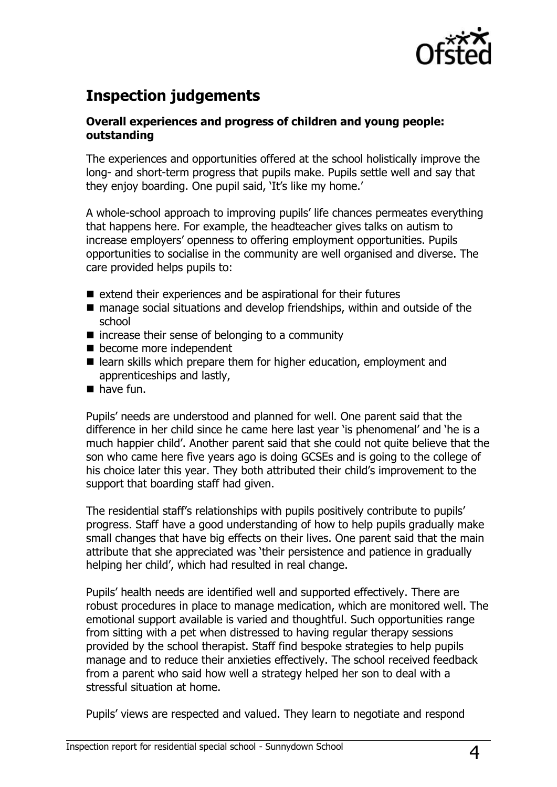

## **Inspection judgements**

#### **Overall experiences and progress of children and young people: outstanding**

The experiences and opportunities offered at the school holistically improve the long- and short-term progress that pupils make. Pupils settle well and say that they enjoy boarding. One pupil said, 'It's like my home.'

A whole-school approach to improving pupils' life chances permeates everything that happens here. For example, the headteacher gives talks on autism to increase employers' openness to offering employment opportunities. Pupils opportunities to socialise in the community are well organised and diverse. The care provided helps pupils to:

- $\blacksquare$  extend their experiences and be aspirational for their futures
- manage social situations and develop friendships, within and outside of the school
- $\blacksquare$  increase their sense of belonging to a community
- $\blacksquare$  become more independent
- learn skills which prepare them for higher education, employment and apprenticeships and lastly,
- $\blacksquare$  have fun.

Pupils' needs are understood and planned for well. One parent said that the difference in her child since he came here last year 'is phenomenal' and 'he is a much happier child'. Another parent said that she could not quite believe that the son who came here five years ago is doing GCSEs and is going to the college of his choice later this year. They both attributed their child's improvement to the support that boarding staff had given.

The residential staff's relationships with pupils positively contribute to pupils' progress. Staff have a good understanding of how to help pupils gradually make small changes that have big effects on their lives. One parent said that the main attribute that she appreciated was 'their persistence and patience in gradually helping her child', which had resulted in real change.

Pupils' health needs are identified well and supported effectively. There are robust procedures in place to manage medication, which are monitored well. The emotional support available is varied and thoughtful. Such opportunities range from sitting with a pet when distressed to having regular therapy sessions provided by the school therapist. Staff find bespoke strategies to help pupils manage and to reduce their anxieties effectively. The school received feedback from a parent who said how well a strategy helped her son to deal with a stressful situation at home.

Pupils' views are respected and valued. They learn to negotiate and respond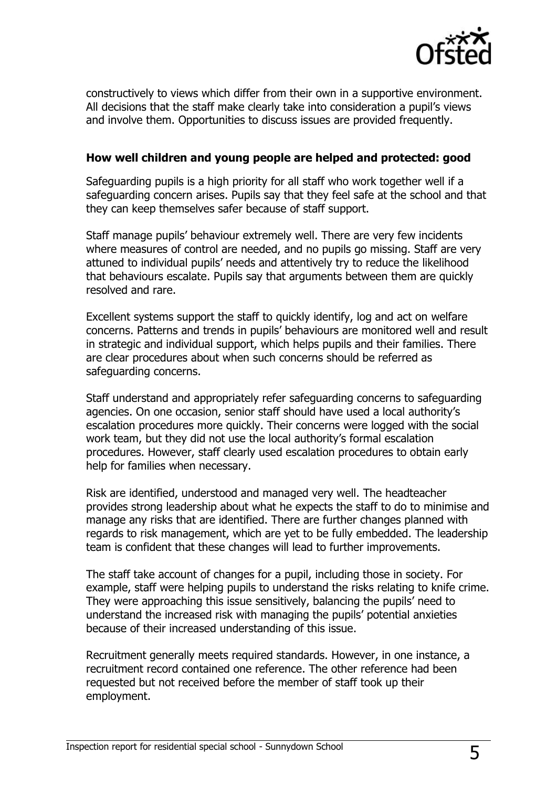

constructively to views which differ from their own in a supportive environment. All decisions that the staff make clearly take into consideration a pupil's views and involve them. Opportunities to discuss issues are provided frequently.

#### **How well children and young people are helped and protected: good**

Safeguarding pupils is a high priority for all staff who work together well if a safeguarding concern arises. Pupils say that they feel safe at the school and that they can keep themselves safer because of staff support.

Staff manage pupils' behaviour extremely well. There are very few incidents where measures of control are needed, and no pupils go missing. Staff are very attuned to individual pupils' needs and attentively try to reduce the likelihood that behaviours escalate. Pupils say that arguments between them are quickly resolved and rare.

Excellent systems support the staff to quickly identify, log and act on welfare concerns. Patterns and trends in pupils' behaviours are monitored well and result in strategic and individual support, which helps pupils and their families. There are clear procedures about when such concerns should be referred as safeguarding concerns.

Staff understand and appropriately refer safeguarding concerns to safeguarding agencies. On one occasion, senior staff should have used a local authority's escalation procedures more quickly. Their concerns were logged with the social work team, but they did not use the local authority's formal escalation procedures. However, staff clearly used escalation procedures to obtain early help for families when necessary.

Risk are identified, understood and managed very well. The headteacher provides strong leadership about what he expects the staff to do to minimise and manage any risks that are identified. There are further changes planned with regards to risk management, which are yet to be fully embedded. The leadership team is confident that these changes will lead to further improvements.

The staff take account of changes for a pupil, including those in society. For example, staff were helping pupils to understand the risks relating to knife crime. They were approaching this issue sensitively, balancing the pupils' need to understand the increased risk with managing the pupils' potential anxieties because of their increased understanding of this issue.

Recruitment generally meets required standards. However, in one instance, a recruitment record contained one reference. The other reference had been requested but not received before the member of staff took up their employment.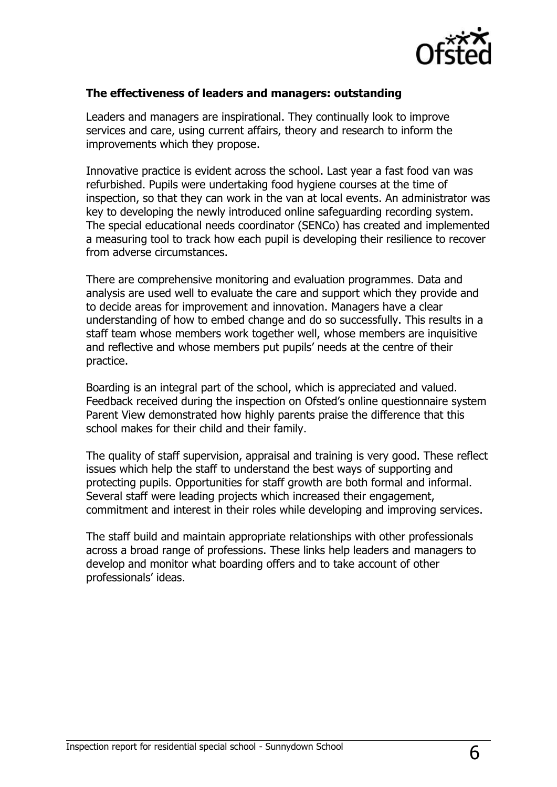

#### **The effectiveness of leaders and managers: outstanding**

Leaders and managers are inspirational. They continually look to improve services and care, using current affairs, theory and research to inform the improvements which they propose.

Innovative practice is evident across the school. Last year a fast food van was refurbished. Pupils were undertaking food hygiene courses at the time of inspection, so that they can work in the van at local events. An administrator was key to developing the newly introduced online safeguarding recording system. The special educational needs coordinator (SENCo) has created and implemented a measuring tool to track how each pupil is developing their resilience to recover from adverse circumstances.

There are comprehensive monitoring and evaluation programmes. Data and analysis are used well to evaluate the care and support which they provide and to decide areas for improvement and innovation. Managers have a clear understanding of how to embed change and do so successfully. This results in a staff team whose members work together well, whose members are inquisitive and reflective and whose members put pupils' needs at the centre of their practice.

Boarding is an integral part of the school, which is appreciated and valued. Feedback received during the inspection on Ofsted's online questionnaire system Parent View demonstrated how highly parents praise the difference that this school makes for their child and their family.

The quality of staff supervision, appraisal and training is very good. These reflect issues which help the staff to understand the best ways of supporting and protecting pupils. Opportunities for staff growth are both formal and informal. Several staff were leading projects which increased their engagement, commitment and interest in their roles while developing and improving services.

The staff build and maintain appropriate relationships with other professionals across a broad range of professions. These links help leaders and managers to develop and monitor what boarding offers and to take account of other professionals' ideas.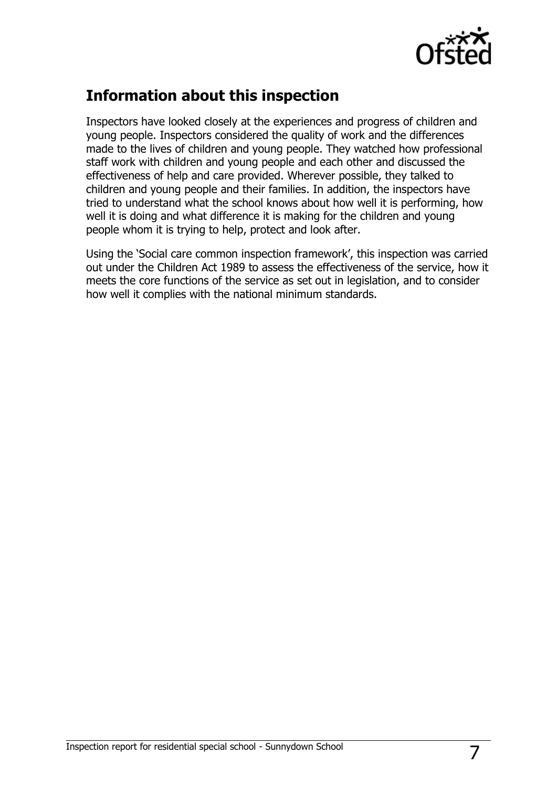

# **Information about this inspection**

Inspectors have looked closely at the experiences and progress of children and young people. Inspectors considered the quality of work and the differences made to the lives of children and young people. They watched how professional staff work with children and young people and each other and discussed the effectiveness of help and care provided. Wherever possible, they talked to children and young people and their families. In addition, the inspectors have tried to understand what the school knows about how well it is performing, how well it is doing and what difference it is making for the children and young people whom it is trying to help, protect and look after.

Using the 'Social care common inspection framework', this inspection was carried out under the Children Act 1989 to assess the effectiveness of the service, how it meets the core functions of the service as set out in legislation, and to consider how well it complies with the national minimum standards.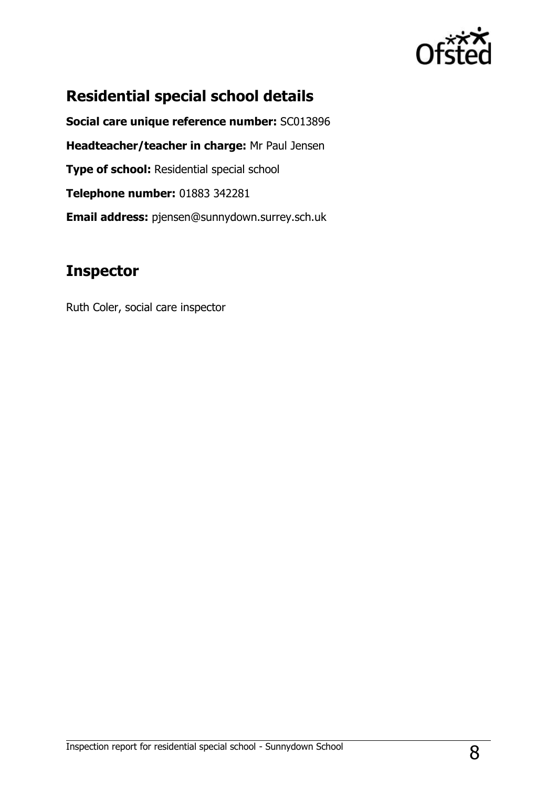

# **Residential special school details**

**Social care unique reference number:** SC013896 **Headteacher/teacher in charge:** Mr Paul Jensen **Type of school: Residential special school Telephone number:** 01883 342281 **Email address:** pjensen@sunnydown.surrey.sch.uk

## **Inspector**

Ruth Coler, social care inspector